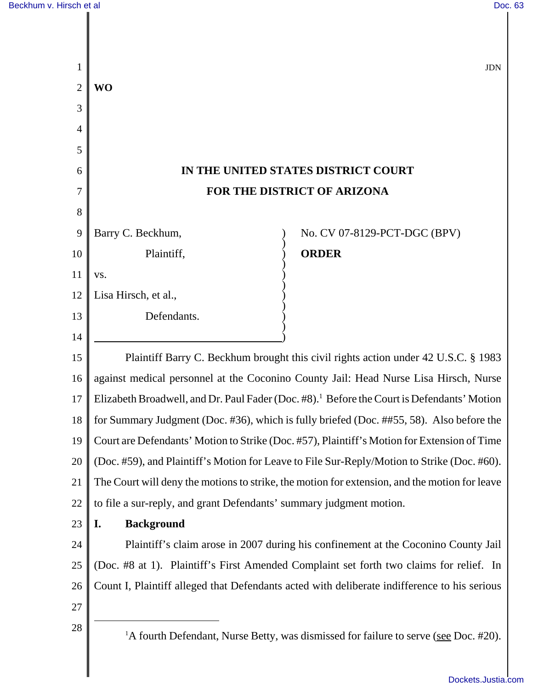| 1                   |                                                                                                        | <b>JDN</b> |  |
|---------------------|--------------------------------------------------------------------------------------------------------|------------|--|
| $\overline{2}$<br>3 | <b>WO</b>                                                                                              |            |  |
| 4                   |                                                                                                        |            |  |
| 5                   |                                                                                                        |            |  |
| 6                   | IN THE UNITED STATES DISTRICT COURT                                                                    |            |  |
| 7                   | FOR THE DISTRICT OF ARIZONA                                                                            |            |  |
| 8                   |                                                                                                        |            |  |
| 9                   | No. CV 07-8129-PCT-DGC (BPV)<br>Barry C. Beckhum,                                                      |            |  |
| 10                  | Plaintiff,<br><b>ORDER</b>                                                                             |            |  |
| 11                  | VS.                                                                                                    |            |  |
| 12                  | Lisa Hirsch, et al.,                                                                                   |            |  |
| 13                  | Defendants.                                                                                            |            |  |
| 14                  |                                                                                                        |            |  |
| 15                  | Plaintiff Barry C. Beckhum brought this civil rights action under 42 U.S.C. § 1983                     |            |  |
| 16                  | against medical personnel at the Coconino County Jail: Head Nurse Lisa Hirsch, Nurse                   |            |  |
| 17                  | Elizabeth Broadwell, and Dr. Paul Fader (Doc. #8). <sup>1</sup> Before the Court is Defendants' Motion |            |  |
| 18                  | for Summary Judgment (Doc. #36), which is fully briefed (Doc. ##55, 58). Also before the               |            |  |
| 19                  | Court are Defendants' Motion to Strike (Doc. #57), Plaintiff's Motion for Extension of Time            |            |  |
| 20                  | (Doc. #59), and Plaintiff's Motion for Leave to File Sur-Reply/Motion to Strike (Doc. #60).            |            |  |
| 21                  | The Court will deny the motions to strike, the motion for extension, and the motion for leave          |            |  |
| 22                  | to file a sur-reply, and grant Defendants' summary judgment motion.                                    |            |  |
| 23                  | <b>Background</b><br>I.                                                                                |            |  |
| 24                  | Plaintiff's claim arose in 2007 during his confinement at the Coconino County Jail                     |            |  |
| 25                  | (Doc. #8 at 1). Plaintiff's First Amended Complaint set forth two claims for relief. In                |            |  |
| 26                  | Count I, Plaintiff alleged that Defendants acted with deliberate indifference to his serious           |            |  |
| 27                  |                                                                                                        |            |  |
| 28                  | <sup>1</sup> A fourth Defendant, Nurse Betty, was dismissed for failure to serve (see Doc. #20).       |            |  |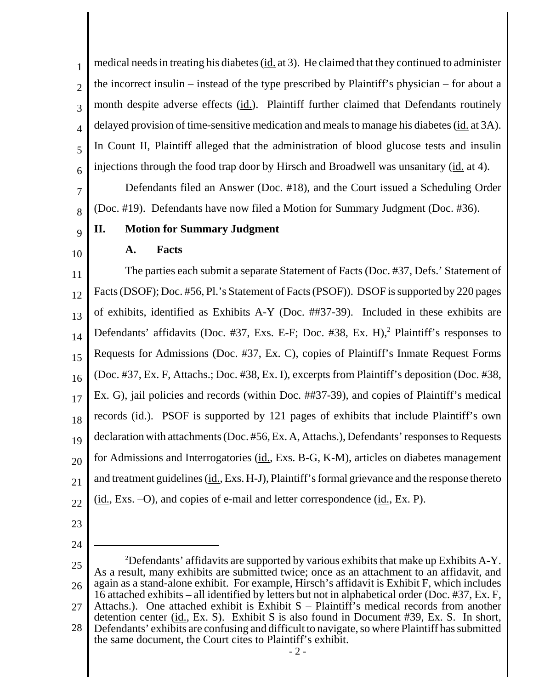1 2 3 4 5 6 medical needs in treating his diabetes (id. at 3). He claimed that they continued to administer the incorrect insulin – instead of the type prescribed by Plaintiff's physician – for about a month despite adverse effects  $(id)$ . Plaintiff further claimed that Defendants routinely delayed provision of time-sensitive medication and meals to manage his diabetes (id. at 3A). In Count II, Plaintiff alleged that the administration of blood glucose tests and insulin injections through the food trap door by Hirsch and Broadwell was unsanitary (id. at 4).

Defendants filed an Answer (Doc. #18), and the Court issued a Scheduling Order (Doc. #19). Defendants have now filed a Motion for Summary Judgment (Doc. #36).

#### 9 **II. Motion for Summary Judgment**

## 10

7

8

# **A. Facts**

11 12 13 14 15 16 17 18 19 20 21 22 The parties each submit a separate Statement of Facts (Doc. #37, Defs.' Statement of Facts (DSOF); Doc. #56, Pl.'s Statement of Facts (PSOF)). DSOF is supported by 220 pages of exhibits, identified as Exhibits A-Y (Doc. ##37-39). Included in these exhibits are Defendants' affidavits (Doc. #37, Exs. E-F; Doc. #38, Ex. H),<sup>2</sup> Plaintiff's responses to Requests for Admissions (Doc. #37, Ex. C), copies of Plaintiff's Inmate Request Forms (Doc. #37, Ex. F, Attachs.; Doc. #38, Ex. I), excerpts from Plaintiff's deposition (Doc. #38, Ex. G), jail policies and records (within Doc. ##37-39), and copies of Plaintiff's medical records (id.). PSOF is supported by 121 pages of exhibits that include Plaintiff's own declaration with attachments (Doc. #56, Ex. A, Attachs.), Defendants' responses to Requests for Admissions and Interrogatories (id., Exs. B-G, K-M), articles on diabetes management and treatment guidelines (id., Exs. H-J), Plaintiff's formal grievance and the response thereto (id., Exs. –O), and copies of e-mail and letter correspondence (id., Ex. P).

23

24

<sup>25</sup> 26 27 28 <sup>2</sup>Defendants' affidavits are supported by various exhibits that make up Exhibits A-Y. As a result, many exhibits are submitted twice; once as an attachment to an affidavit, and again as a stand-alone exhibit. For example, Hirsch's affidavit is Exhibit F, which includes 16 attached exhibits – all identified by letters but not in alphabetical order (Doc. #37, Ex. F, Attachs.). One attached exhibit is Exhibit  $S -$  Plaintiff's medical records from another detention center (id., Ex. S). Exhibit S is also found in Document #39, Ex. S. In short,

Defendants' exhibits are confusing and difficult to navigate, so where Plaintiff has submitted the same document, the Court cites to Plaintiff's exhibit.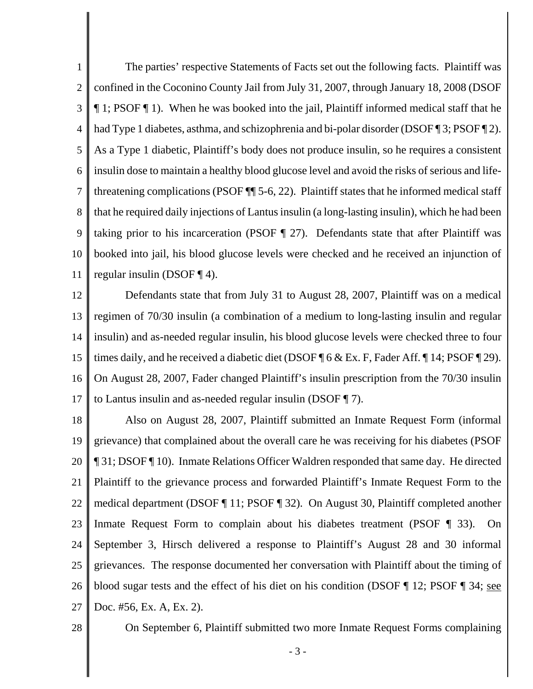1 2 3 4 5 6 7 8 9 10 11 The parties' respective Statements of Facts set out the following facts. Plaintiff was confined in the Coconino County Jail from July 31, 2007, through January 18, 2008 (DSOF ¶ 1; PSOF ¶ 1). When he was booked into the jail, Plaintiff informed medical staff that he had Type 1 diabetes, asthma, and schizophrenia and bi-polar disorder (DSOF ¶ 3; PSOF ¶ 2). As a Type 1 diabetic, Plaintiff's body does not produce insulin, so he requires a consistent insulin dose to maintain a healthy blood glucose level and avoid the risks of serious and lifethreatening complications (PSOF ¶¶ 5-6, 22). Plaintiff states that he informed medical staff that he required daily injections of Lantus insulin (a long-lasting insulin), which he had been taking prior to his incarceration (PSOF  $\parallel$  27). Defendants state that after Plaintiff was booked into jail, his blood glucose levels were checked and he received an injunction of regular insulin (DSOF ¶ 4).

12 13 14 15 16 17 Defendants state that from July 31 to August 28, 2007, Plaintiff was on a medical regimen of 70/30 insulin (a combination of a medium to long-lasting insulin and regular insulin) and as-needed regular insulin, his blood glucose levels were checked three to four times daily, and he received a diabetic diet (DSOF ¶ 6 & Ex. F, Fader Aff. ¶ 14; PSOF ¶ 29). On August 28, 2007, Fader changed Plaintiff's insulin prescription from the 70/30 insulin to Lantus insulin and as-needed regular insulin (DSOF ¶ 7).

18 19 20 21 22 23 24 25 26 27 Also on August 28, 2007, Plaintiff submitted an Inmate Request Form (informal grievance) that complained about the overall care he was receiving for his diabetes (PSOF ¶ 31; DSOF ¶ 10). Inmate Relations Officer Waldren responded that same day. He directed Plaintiff to the grievance process and forwarded Plaintiff's Inmate Request Form to the medical department (DSOF ¶ 11; PSOF ¶ 32). On August 30, Plaintiff completed another Inmate Request Form to complain about his diabetes treatment (PSOF ¶ 33). On September 3, Hirsch delivered a response to Plaintiff's August 28 and 30 informal grievances. The response documented her conversation with Plaintiff about the timing of blood sugar tests and the effect of his diet on his condition (DSOF ¶ 12; PSOF ¶ 34; see Doc. #56, Ex. A, Ex. 2).

28

On September 6, Plaintiff submitted two more Inmate Request Forms complaining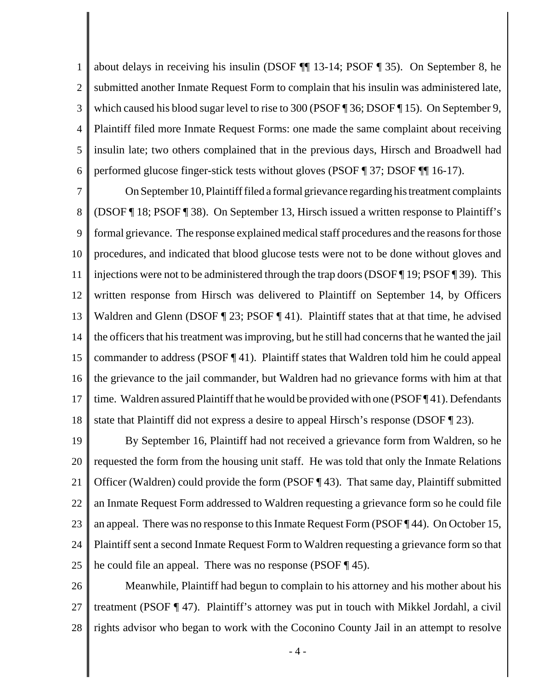1 2 3 4 5 6 about delays in receiving his insulin (DSOF ¶¶ 13-14; PSOF ¶ 35). On September 8, he submitted another Inmate Request Form to complain that his insulin was administered late, which caused his blood sugar level to rise to 300 (PSOF¶ 36; DSOF¶ 15). On September 9, Plaintiff filed more Inmate Request Forms: one made the same complaint about receiving insulin late; two others complained that in the previous days, Hirsch and Broadwell had performed glucose finger-stick tests without gloves (PSOF ¶ 37; DSOF ¶¶ 16-17).

7 8 9 10 11 12 13 14 15 16 17 18 On September 10, Plaintiff filed a formal grievance regarding his treatment complaints (DSOF ¶ 18; PSOF ¶ 38). On September 13, Hirsch issued a written response to Plaintiff's formal grievance. The response explained medical staff procedures and the reasons for those procedures, and indicated that blood glucose tests were not to be done without gloves and injections were not to be administered through the trap doors (DSOF ¶ 19; PSOF ¶ 39). This written response from Hirsch was delivered to Plaintiff on September 14, by Officers Waldren and Glenn (DSOF  $\P$  23; PSOF  $\P$  41). Plaintiff states that at that time, he advised the officers that his treatment was improving, but he still had concerns that he wanted the jail commander to address (PSOF  $\P$  41). Plaintiff states that Waldren told him he could appeal the grievance to the jail commander, but Waldren had no grievance forms with him at that time. Waldren assured Plaintiff that he would be provided with one (PSOF ¶ 41). Defendants state that Plaintiff did not express a desire to appeal Hirsch's response (DSOF ¶ 23).

19 20 21 22 23 24 25 By September 16, Plaintiff had not received a grievance form from Waldren, so he requested the form from the housing unit staff. He was told that only the Inmate Relations Officer (Waldren) could provide the form (PSOF ¶ 43). That same day, Plaintiff submitted an Inmate Request Form addressed to Waldren requesting a grievance form so he could file an appeal. There was no response to this Inmate Request Form (PSOF ¶ 44). On October 15, Plaintiff sent a second Inmate Request Form to Waldren requesting a grievance form so that he could file an appeal. There was no response (PSOF ¶ 45).

26 27 28 Meanwhile, Plaintiff had begun to complain to his attorney and his mother about his treatment (PSOF ¶ 47). Plaintiff's attorney was put in touch with Mikkel Jordahl, a civil rights advisor who began to work with the Coconino County Jail in an attempt to resolve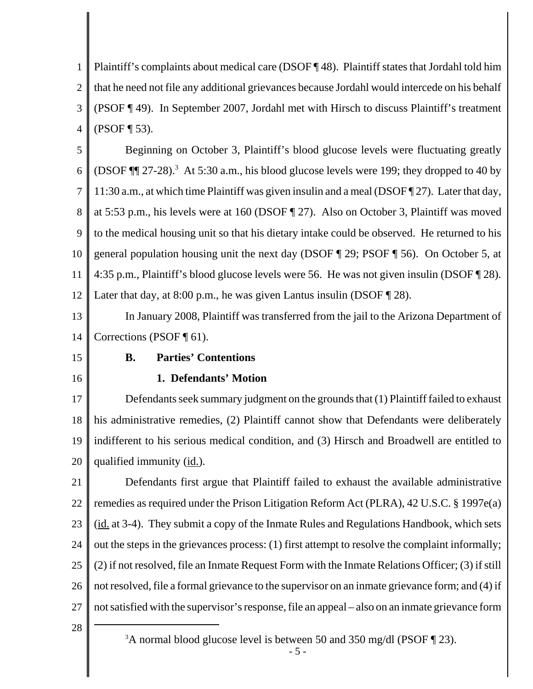1 2 3 4 Plaintiff's complaints about medical care (DSOF ¶ 48). Plaintiff states that Jordahl told him that he need not file any additional grievances because Jordahl would intercede on his behalf (PSOF ¶ 49). In September 2007, Jordahl met with Hirsch to discuss Plaintiff's treatment (PSOF ¶ 53).

5 6 7 8 9 10 11 12 Beginning on October 3, Plaintiff's blood glucose levels were fluctuating greatly (DSOF  $\P$  $[27-28)$ .<sup>3</sup> At 5:30 a.m., his blood glucose levels were 199; they dropped to 40 by 11:30 a.m., at which time Plaintiff was given insulin and a meal (DSOF ¶ 27). Later that day, at 5:53 p.m., his levels were at 160 (DSOF ¶ 27). Also on October 3, Plaintiff was moved to the medical housing unit so that his dietary intake could be observed. He returned to his general population housing unit the next day (DSOF ¶ 29; PSOF ¶ 56). On October 5, at 4:35 p.m., Plaintiff's blood glucose levels were 56. He was not given insulin (DSOF ¶ 28). Later that day, at  $8:00$  p.m., he was given Lantus insulin (DSOF  $\P$  28).

13 14 In January 2008, Plaintiff was transferred from the jail to the Arizona Department of Corrections (PSOF ¶ 61).

15

16

## **B. Parties' Contentions**

## **1. Defendants' Motion**

17 18 19 20 Defendants seek summary judgment on the grounds that (1) Plaintiff failed to exhaust his administrative remedies, (2) Plaintiff cannot show that Defendants were deliberately indifferent to his serious medical condition, and (3) Hirsch and Broadwell are entitled to qualified immunity (id.).

21 22 23 24 25 26 27 Defendants first argue that Plaintiff failed to exhaust the available administrative remedies as required under the Prison Litigation Reform Act (PLRA), 42 U.S.C. § 1997e(a) (id. at 3-4). They submit a copy of the Inmate Rules and Regulations Handbook, which sets out the steps in the grievances process: (1) first attempt to resolve the complaint informally; (2) if not resolved, file an Inmate Request Form with the Inmate Relations Officer; (3) if still not resolved, file a formal grievance to the supervisor on an inmate grievance form; and (4) if not satisfied with the supervisor's response, file an appeal – also on an inmate grievance form

28

<sup>3</sup>A normal blood glucose level is between 50 and 350 mg/dl (PSOF  $\P$  23).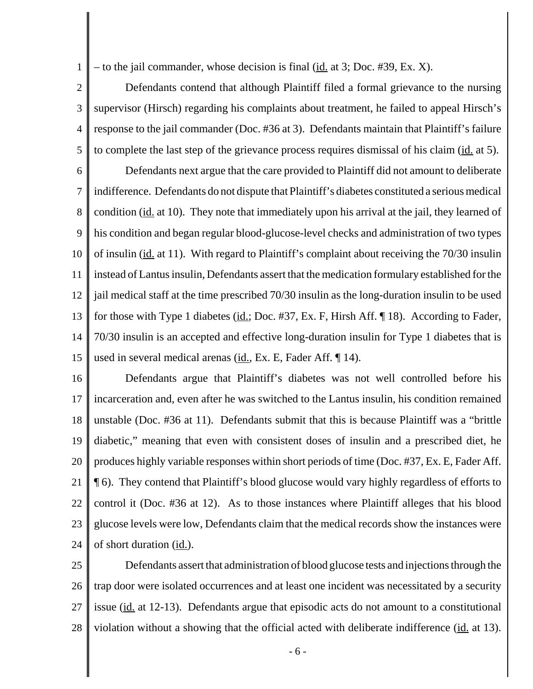1 – to the jail commander, whose decision is final (id. at 3; Doc. #39, Ex. X).

2 3 4 5 Defendants contend that although Plaintiff filed a formal grievance to the nursing supervisor (Hirsch) regarding his complaints about treatment, he failed to appeal Hirsch's response to the jail commander (Doc. #36 at 3). Defendants maintain that Plaintiff's failure to complete the last step of the grievance process requires dismissal of his claim (id. at 5).

6 7 8 9 10 11 12 13 14 15 Defendants next argue that the care provided to Plaintiff did not amount to deliberate indifference. Defendants do not dispute that Plaintiff's diabetes constituted a serious medical condition (id. at 10). They note that immediately upon his arrival at the jail, they learned of his condition and began regular blood-glucose-level checks and administration of two types of insulin (id. at 11). With regard to Plaintiff's complaint about receiving the 70/30 insulin instead of Lantus insulin, Defendants assert that the medication formulary established for the jail medical staff at the time prescribed 70/30 insulin as the long-duration insulin to be used for those with Type 1 diabetes (id.; Doc. #37, Ex. F, Hirsh Aff. ¶ 18). According to Fader, 70/30 insulin is an accepted and effective long-duration insulin for Type 1 diabetes that is used in several medical arenas  $(id, Ex. E, Fader Aff. \P 14)$ .

16 17 18 19 20 21 22 23 24 Defendants argue that Plaintiff's diabetes was not well controlled before his incarceration and, even after he was switched to the Lantus insulin, his condition remained unstable (Doc. #36 at 11). Defendants submit that this is because Plaintiff was a "brittle diabetic," meaning that even with consistent doses of insulin and a prescribed diet, he produces highly variable responses within short periods of time (Doc. #37, Ex. E, Fader Aff. ¶ 6). They contend that Plaintiff's blood glucose would vary highly regardless of efforts to control it (Doc. #36 at 12). As to those instances where Plaintiff alleges that his blood glucose levels were low, Defendants claim that the medical records show the instances were of short duration (id.).

25 26 27 28 Defendants assert that administration of blood glucose tests and injections through the trap door were isolated occurrences and at least one incident was necessitated by a security issue (id. at 12-13). Defendants argue that episodic acts do not amount to a constitutional violation without a showing that the official acted with deliberate indifference (id. at 13).

- 6 -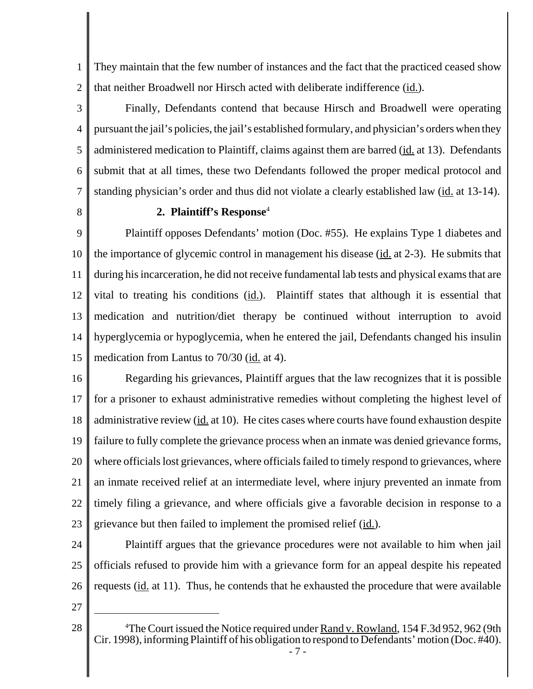1 2 They maintain that the few number of instances and the fact that the practiced ceased show that neither Broadwell nor Hirsch acted with deliberate indifference (id.).

3 4 5 6 7 Finally, Defendants contend that because Hirsch and Broadwell were operating pursuant the jail's policies, the jail's established formulary, and physician's orders when they administered medication to Plaintiff, claims against them are barred (id. at 13). Defendants submit that at all times, these two Defendants followed the proper medical protocol and standing physician's order and thus did not violate a clearly established law (id. at 13-14).

8

## **2. Plaintiff's Response**<sup>4</sup>

9 10 11 12 13 14 15 Plaintiff opposes Defendants' motion (Doc. #55). He explains Type 1 diabetes and the importance of glycemic control in management his disease (id. at 2-3). He submits that during his incarceration, he did not receive fundamental lab tests and physical exams that are vital to treating his conditions  $(id.)$ . Plaintiff states that although it is essential that medication and nutrition/diet therapy be continued without interruption to avoid hyperglycemia or hypoglycemia, when he entered the jail, Defendants changed his insulin medication from Lantus to 70/30 (id. at 4).

16 17 18 19 20 21 22 23 Regarding his grievances, Plaintiff argues that the law recognizes that it is possible for a prisoner to exhaust administrative remedies without completing the highest level of administrative review (id. at 10). He cites cases where courts have found exhaustion despite failure to fully complete the grievance process when an inmate was denied grievance forms, where officials lost grievances, where officials failed to timely respond to grievances, where an inmate received relief at an intermediate level, where injury prevented an inmate from timely filing a grievance, and where officials give a favorable decision in response to a grievance but then failed to implement the promised relief (id.).

24 25 26 Plaintiff argues that the grievance procedures were not available to him when jail officials refused to provide him with a grievance form for an appeal despite his repeated requests (id. at 11). Thus, he contends that he exhausted the procedure that were available

27

<sup>28</sup> The Court issued the Notice required under Rand v. Rowland, 154 F.3d 952, 962 (9th Cir. 1998), informing Plaintiff of his obligation to respond to Defendants' motion (Doc. #40).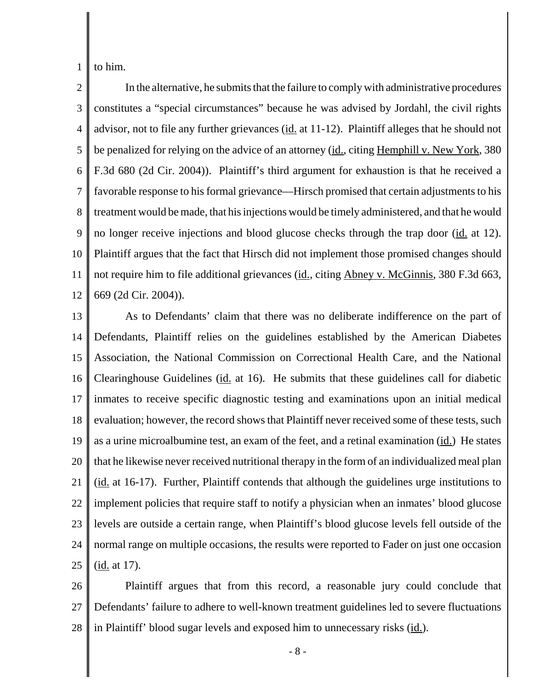1 to him.

2 3 4 5 6 7 8 9 10 11 12 In the alternative, he submits that the failure to comply with administrative procedures constitutes a "special circumstances" because he was advised by Jordahl, the civil rights advisor, not to file any further grievances (id. at 11-12). Plaintiff alleges that he should not be penalized for relying on the advice of an attorney (id., citing Hemphill v. New York, 380 F.3d 680 (2d Cir. 2004)). Plaintiff's third argument for exhaustion is that he received a favorable response to his formal grievance—Hirsch promised that certain adjustments to his treatment would be made, that his injections would be timely administered, and that he would no longer receive injections and blood glucose checks through the trap door (id. at 12). Plaintiff argues that the fact that Hirsch did not implement those promised changes should not require him to file additional grievances (id., citing Abney v. McGinnis, 380 F.3d 663, 669 (2d Cir. 2004)).

13 14 15 16 17 18 19 20 21 22 23 24 25 As to Defendants' claim that there was no deliberate indifference on the part of Defendants, Plaintiff relies on the guidelines established by the American Diabetes Association, the National Commission on Correctional Health Care, and the National Clearinghouse Guidelines (id. at 16). He submits that these guidelines call for diabetic inmates to receive specific diagnostic testing and examinations upon an initial medical evaluation; however, the record shows that Plaintiff never received some of these tests, such as a urine microalbumine test, an exam of the feet, and a retinal examination (id.) He states that he likewise never received nutritional therapy in the form of an individualized meal plan  $(i_d$  at 16-17). Further, Plaintiff contends that although the guidelines urge institutions to implement policies that require staff to notify a physician when an inmates' blood glucose levels are outside a certain range, when Plaintiff's blood glucose levels fell outside of the normal range on multiple occasions, the results were reported to Fader on just one occasion (id. at 17).

26 27 28 Plaintiff argues that from this record, a reasonable jury could conclude that Defendants' failure to adhere to well-known treatment guidelines led to severe fluctuations in Plaintiff' blood sugar levels and exposed him to unnecessary risks (id.).

- 8 -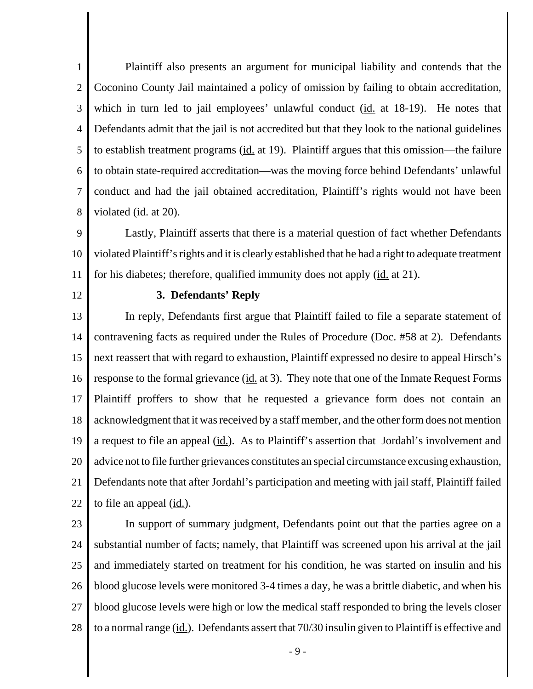1 2 3 4 5 6 7 8 Plaintiff also presents an argument for municipal liability and contends that the Coconino County Jail maintained a policy of omission by failing to obtain accreditation, which in turn led to jail employees' unlawful conduct  $(id$  at 18-19). He notes that Defendants admit that the jail is not accredited but that they look to the national guidelines to establish treatment programs (id. at 19). Plaintiff argues that this omission—the failure to obtain state-required accreditation—was the moving force behind Defendants' unlawful conduct and had the jail obtained accreditation, Plaintiff's rights would not have been violated (id. at 20).

9 10 11 Lastly, Plaintiff asserts that there is a material question of fact whether Defendants violated Plaintiff's rights and it is clearly established that he had a right to adequate treatment for his diabetes; therefore, qualified immunity does not apply (id. at 21).

12

### **3. Defendants' Reply**

13 14 15 16 17 18 19 20 21 22 In reply, Defendants first argue that Plaintiff failed to file a separate statement of contravening facts as required under the Rules of Procedure (Doc. #58 at 2). Defendants next reassert that with regard to exhaustion, Plaintiff expressed no desire to appeal Hirsch's response to the formal grievance (id. at 3). They note that one of the Inmate Request Forms Plaintiff proffers to show that he requested a grievance form does not contain an acknowledgment that it was received by a staff member, and the other form does not mention a request to file an appeal (id.). As to Plaintiff's assertion that Jordahl's involvement and advice not to file further grievances constitutes an special circumstance excusing exhaustion, Defendants note that after Jordahl's participation and meeting with jail staff, Plaintiff failed to file an appeal (id.).

23

24 25 26 27 28 In support of summary judgment, Defendants point out that the parties agree on a substantial number of facts; namely, that Plaintiff was screened upon his arrival at the jail and immediately started on treatment for his condition, he was started on insulin and his blood glucose levels were monitored 3-4 times a day, he was a brittle diabetic, and when his blood glucose levels were high or low the medical staff responded to bring the levels closer to a normal range (id.). Defendants assert that 70/30 insulin given to Plaintiff is effective and

- 9 -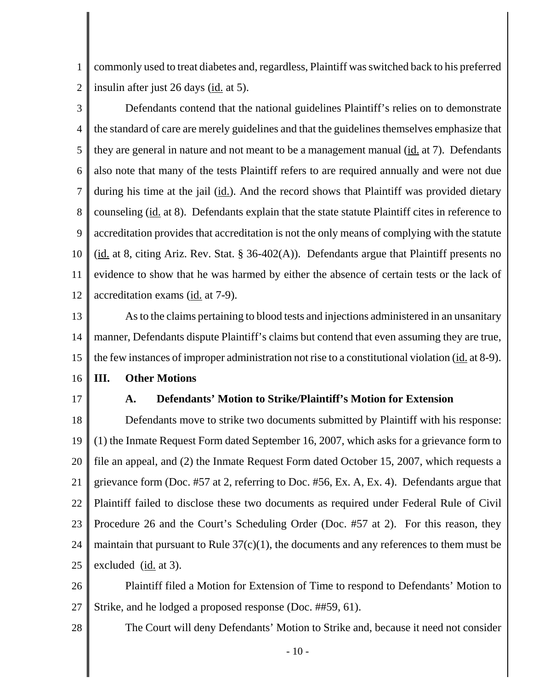1 2 commonly used to treat diabetes and, regardless, Plaintiff was switched back to his preferred insulin after just 26 days (id. at 5).

3 4 5 6 7 8 9 10 11 12 Defendants contend that the national guidelines Plaintiff's relies on to demonstrate the standard of care are merely guidelines and that the guidelines themselves emphasize that they are general in nature and not meant to be a management manual  $(i_d$  at 7). Defendants also note that many of the tests Plaintiff refers to are required annually and were not due during his time at the jail (id.). And the record shows that Plaintiff was provided dietary counseling (id. at 8). Defendants explain that the state statute Plaintiff cites in reference to accreditation provides that accreditation is not the only means of complying with the statute (id. at 8, citing Ariz. Rev. Stat.  $\S 36-402(A)$ ). Defendants argue that Plaintiff presents no evidence to show that he was harmed by either the absence of certain tests or the lack of accreditation exams (id. at 7-9).

- 13 14 15 As to the claims pertaining to blood tests and injections administered in an unsanitary manner, Defendants dispute Plaintiff's claims but contend that even assuming they are true, the few instances of improper administration not rise to a constitutional violation (id. at 8-9).
- 16 **III. Other Motions**
- 17

28

## **A. Defendants' Motion to Strike/Plaintiff's Motion for Extension**

18 19 20 21 22 23 24 25 Defendants move to strike two documents submitted by Plaintiff with his response: (1) the Inmate Request Form dated September 16, 2007, which asks for a grievance form to file an appeal, and (2) the Inmate Request Form dated October 15, 2007, which requests a grievance form (Doc. #57 at 2, referring to Doc. #56, Ex. A, Ex. 4).Defendants argue that Plaintiff failed to disclose these two documents as required under Federal Rule of Civil Procedure 26 and the Court's Scheduling Order (Doc. #57 at 2). For this reason, they maintain that pursuant to Rule  $37(c)(1)$ , the documents and any references to them must be excluded (id. at 3).

26 27 Plaintiff filed a Motion for Extension of Time to respond to Defendants' Motion to Strike, and he lodged a proposed response (Doc. ##59, 61).

The Court will deny Defendants' Motion to Strike and, because it need not consider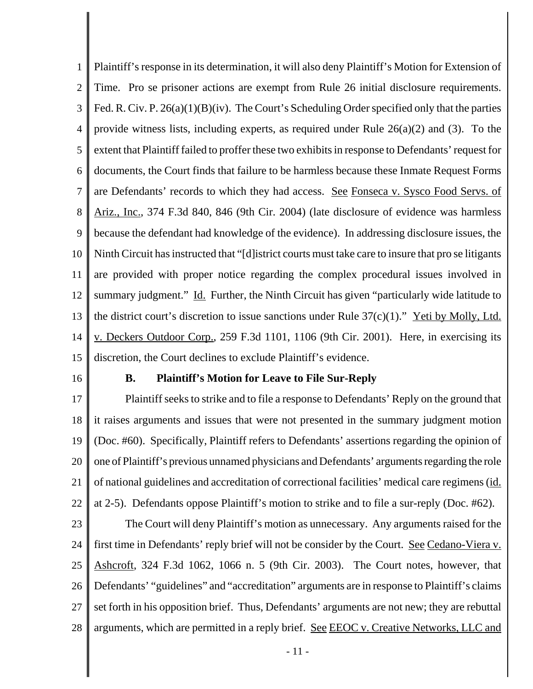1 2 3 4 5 6 7 8 9 10 11 12 13 14 15 Plaintiff's response in its determination, it will also deny Plaintiff's Motion for Extension of Time. Pro se prisoner actions are exempt from Rule 26 initial disclosure requirements. Fed. R. Civ. P. 26(a)(1)(B)(iv). The Court's Scheduling Order specified only that the parties provide witness lists, including experts, as required under Rule  $26(a)(2)$  and (3). To the extent that Plaintiff failed to proffer these two exhibits in response to Defendants' request for documents, the Court finds that failure to be harmless because these Inmate Request Forms are Defendants' records to which they had access. See Fonseca v. Sysco Food Servs. of Ariz., Inc., 374 F.3d 840, 846 (9th Cir. 2004) (late disclosure of evidence was harmless because the defendant had knowledge of the evidence). In addressing disclosure issues, the Ninth Circuit has instructed that "[d]istrict courts must take care to insure that pro se litigants are provided with proper notice regarding the complex procedural issues involved in summary judgment." Id. Further, the Ninth Circuit has given "particularly wide latitude to the district court's discretion to issue sanctions under Rule  $37(c)(1)$ ." Yeti by Molly, Ltd. v. Deckers Outdoor Corp., 259 F.3d 1101, 1106 (9th Cir. 2001).Here, in exercising its discretion, the Court declines to exclude Plaintiff's evidence.

16

#### **B. Plaintiff's Motion for Leave to File Sur-Reply**

17 18 19 20 21 22 Plaintiff seeks to strike and to file a response to Defendants' Reply on the ground that it raises arguments and issues that were not presented in the summary judgment motion (Doc. #60). Specifically, Plaintiff refers to Defendants' assertions regarding the opinion of one of Plaintiff's previous unnamed physicians and Defendants' arguments regarding the role of national guidelines and accreditation of correctional facilities' medical care regimens (id. at 2-5). Defendants oppose Plaintiff's motion to strike and to file a sur-reply (Doc. #62).

23 24 25 26 27 28 The Court will deny Plaintiff's motion as unnecessary. Any arguments raised for the first time in Defendants' reply brief will not be consider by the Court. See Cedano-Viera v. Ashcroft, 324 F.3d 1062, 1066 n. 5 (9th Cir. 2003). The Court notes, however, that Defendants' "guidelines" and "accreditation" arguments are in response to Plaintiff's claims set forth in his opposition brief. Thus, Defendants' arguments are not new; they are rebuttal arguments, which are permitted in a reply brief. See EEOC v. Creative Networks, LLC and

- 11 -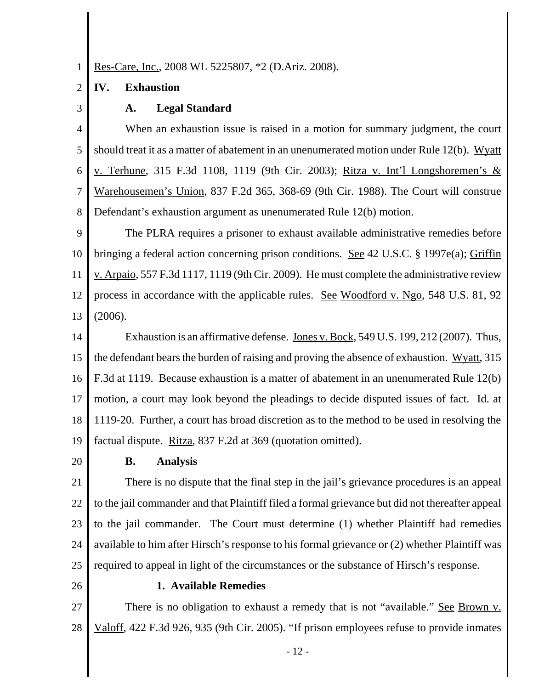1 Res-Care, Inc., 2008 WL 5225807, \*2 (D.Ariz. 2008).

#### 2 **IV. Exhaustion**

3

## **A. Legal Standard**

4 5 6 7 8 When an exhaustion issue is raised in a motion for summary judgment, the court should treat it as a matter of abatement in an unenumerated motion under Rule 12(b). Wyatt v. Terhune, 315 F.3d 1108, 1119 (9th Cir. 2003); Ritza v. Int'l Longshoremen's & Warehousemen's Union, 837 F.2d 365, 368-69 (9th Cir. 1988). The Court will construe Defendant's exhaustion argument as unenumerated Rule 12(b) motion.

9 10 11 12 13 The PLRA requires a prisoner to exhaust available administrative remedies before bringing a federal action concerning prison conditions. See 42 U.S.C. § 1997e(a); Griffin v. Arpaio, 557 F.3d 1117, 1119 (9th Cir. 2009). He must complete the administrative review process in accordance with the applicable rules. See Woodford v. Ngo, 548 U.S. 81, 92 (2006).

14 15 16 17 18 19 Exhaustion is an affirmative defense. Jones v. Bock, 549 U.S. 199, 212 (2007). Thus, the defendant bears the burden of raising and proving the absence of exhaustion. Wyatt, 315 F.3d at 1119. Because exhaustion is a matter of abatement in an unenumerated Rule 12(b) motion, a court may look beyond the pleadings to decide disputed issues of fact. Id. at 1119-20. Further, a court has broad discretion as to the method to be used in resolving the factual dispute. Ritza, 837 F.2d at 369 (quotation omitted).

20

## **B. Analysis**

21 22 23 24 25 There is no dispute that the final step in the jail's grievance procedures is an appeal to the jail commander and that Plaintiff filed a formal grievance but did not thereafter appeal to the jail commander. The Court must determine (1) whether Plaintiff had remedies available to him after Hirsch's response to his formal grievance or (2) whether Plaintiff was required to appeal in light of the circumstances or the substance of Hirsch's response.

26

### **1. Available Remedies**

27 28 There is no obligation to exhaust a remedy that is not "available." See Brown v. Valoff, 422 F.3d 926, 935 (9th Cir. 2005). "If prison employees refuse to provide inmates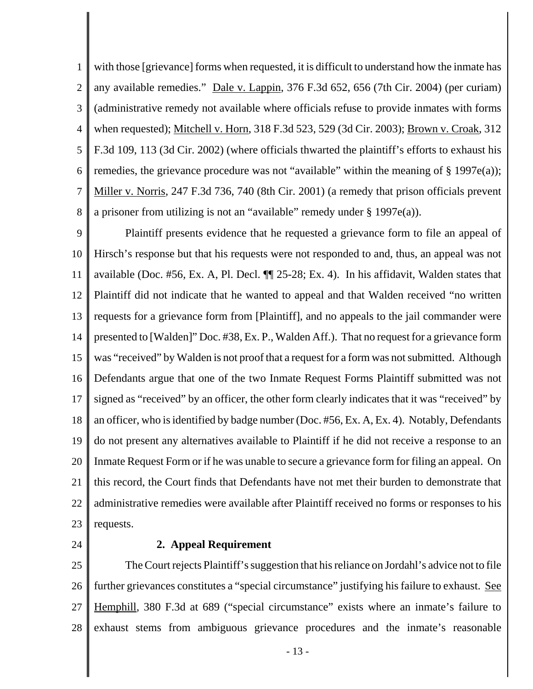1 2 3 4 5 6 7 8 with those [grievance] forms when requested, it is difficult to understand how the inmate has any available remedies." Dale v. Lappin, 376 F.3d 652, 656 (7th Cir. 2004) (per curiam) (administrative remedy not available where officials refuse to provide inmates with forms when requested); Mitchell v. Horn, 318 F.3d 523, 529 (3d Cir. 2003); Brown v. Croak, 312 F.3d 109, 113 (3d Cir. 2002) (where officials thwarted the plaintiff's efforts to exhaust his remedies, the grievance procedure was not "available" within the meaning of  $\S$  1997e(a)); Miller v. Norris, 247 F.3d 736, 740 (8th Cir. 2001) (a remedy that prison officials prevent a prisoner from utilizing is not an "available" remedy under § 1997e(a)).

9 10 11 12 13 14 15 16 17 18 19 20 21 22 23 Plaintiff presents evidence that he requested a grievance form to file an appeal of Hirsch's response but that his requests were not responded to and, thus, an appeal was not available (Doc. #56, Ex. A, Pl. Decl. ¶¶ 25-28; Ex. 4). In his affidavit, Walden states that Plaintiff did not indicate that he wanted to appeal and that Walden received "no written requests for a grievance form from [Plaintiff], and no appeals to the jail commander were presented to [Walden]" Doc. #38, Ex. P., Walden Aff.).That no request for a grievance form was "received" by Walden is not proof that a request for a form was not submitted. Although Defendants argue that one of the two Inmate Request Forms Plaintiff submitted was not signed as "received" by an officer, the other form clearly indicates that it was "received" by an officer, who is identified by badge number (Doc. #56, Ex. A, Ex. 4). Notably, Defendants do not present any alternatives available to Plaintiff if he did not receive a response to an Inmate Request Form or if he was unable to secure a grievance form for filing an appeal. On this record, the Court finds that Defendants have not met their burden to demonstrate that administrative remedies were available after Plaintiff received no forms or responses to his requests.

24

### **2. Appeal Requirement**

25 26 27 28 The Court rejects Plaintiff's suggestion that his reliance on Jordahl's advice not to file further grievances constitutes a "special circumstance" justifying his failure to exhaust. See Hemphill, 380 F.3d at 689 ("special circumstance" exists where an inmate's failure to exhaust stems from ambiguous grievance procedures and the inmate's reasonable

- 13 -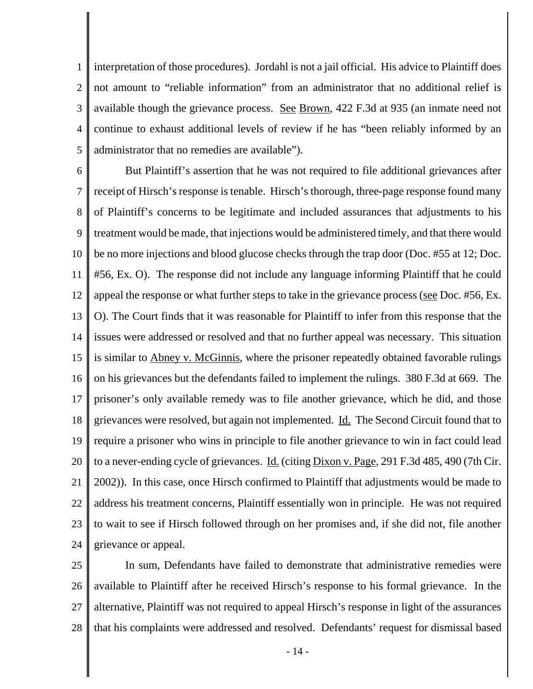1 2 3 4 5 interpretation of those procedures). Jordahl is not a jail official. His advice to Plaintiff does not amount to "reliable information" from an administrator that no additional relief is available though the grievance process. See Brown, 422 F.3d at 935 (an inmate need not continue to exhaust additional levels of review if he has "been reliably informed by an administrator that no remedies are available").

6 7 8 9 10 11 12 13 14 15 16 17 18 19 20 21 22 23 24 But Plaintiff's assertion that he was not required to file additional grievances after receipt of Hirsch's response is tenable. Hirsch's thorough, three-page response found many of Plaintiff's concerns to be legitimate and included assurances that adjustments to his treatment would be made, that injections would be administered timely, and that there would be no more injections and blood glucose checks through the trap door (Doc. #55 at 12; Doc. #56, Ex. O). The response did not include any language informing Plaintiff that he could appeal the response or what further steps to take in the grievance process (see Doc. #56, Ex. O). The Court finds that it was reasonable for Plaintiff to infer from this response that the issues were addressed or resolved and that no further appeal was necessary. This situation is similar to **Abney v. McGinnis**, where the prisoner repeatedly obtained favorable rulings on his grievances but the defendants failed to implement the rulings. 380 F.3d at 669. The prisoner's only available remedy was to file another grievance, which he did, and those grievances were resolved, but again not implemented. Id. The Second Circuit found that to require a prisoner who wins in principle to file another grievance to win in fact could lead to a never-ending cycle of grievances. <u>Id.</u> (citing Dixon v. Page, 291 F.3d 485, 490 (7th Cir. 2002)). In this case, once Hirsch confirmed to Plaintiff that adjustments would be made to address his treatment concerns, Plaintiff essentially won in principle. He was not required to wait to see if Hirsch followed through on her promises and, if she did not, file another grievance or appeal.

25 26 27 28 In sum, Defendants have failed to demonstrate that administrative remedies were available to Plaintiff after he received Hirsch's response to his formal grievance. In the alternative, Plaintiff was not required to appeal Hirsch's response in light of the assurances that his complaints were addressed and resolved. Defendants' request for dismissal based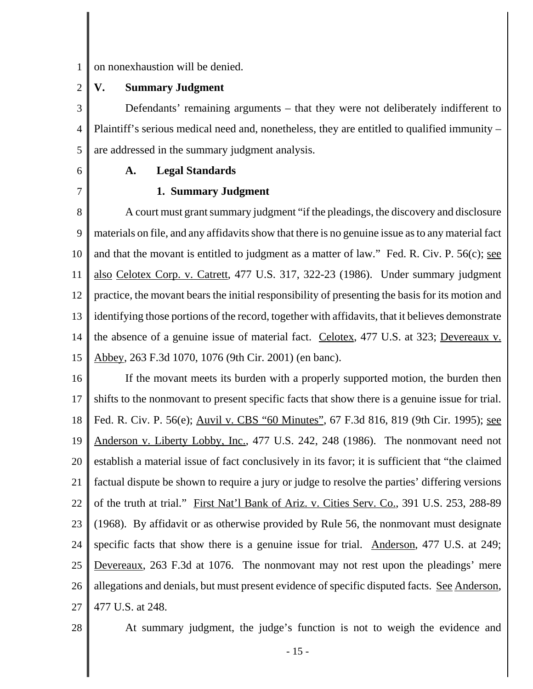1 on nonexhaustion will be denied.

#### 2 **V. Summary Judgment**

3 4 5 Defendants' remaining arguments – that they were not deliberately indifferent to Plaintiff's serious medical need and, nonetheless, they are entitled to qualified immunity – are addressed in the summary judgment analysis.

6 7

## **A. Legal Standards**

## **1. Summary Judgment**

8 9 10 11 12 13 14 15 A court must grant summary judgment "if the pleadings, the discovery and disclosure materials on file, and any affidavits show that there is no genuine issue as to any material fact and that the movant is entitled to judgment as a matter of law." Fed. R. Civ. P. 56(c); see also Celotex Corp. v. Catrett, 477 U.S. 317, 322-23 (1986). Under summary judgment practice, the movant bears the initial responsibility of presenting the basis for its motion and identifying those portions of the record, together with affidavits, that it believes demonstrate the absence of a genuine issue of material fact. Celotex, 477 U.S. at 323; Devereaux v. Abbey, 263 F.3d 1070, 1076 (9th Cir. 2001) (en banc).

16 17 18 19 20 21 22 23 24 25 26 27 If the movant meets its burden with a properly supported motion, the burden then shifts to the nonmovant to present specific facts that show there is a genuine issue for trial. Fed. R. Civ. P. 56(e); Auvil v. CBS "60 Minutes", 67 F.3d 816, 819 (9th Cir. 1995); see Anderson v. Liberty Lobby, Inc., 477 U.S. 242, 248 (1986). The nonmovant need not establish a material issue of fact conclusively in its favor; it is sufficient that "the claimed factual dispute be shown to require a jury or judge to resolve the parties' differing versions of the truth at trial." First Nat'l Bank of Ariz. v. Cities Serv. Co., 391 U.S. 253, 288-89 (1968). By affidavit or as otherwise provided by Rule 56, the nonmovant must designate specific facts that show there is a genuine issue for trial. Anderson, 477 U.S. at 249; Devereaux, 263 F.3d at 1076. The nonmovant may not rest upon the pleadings' mere allegations and denials, but must present evidence of specific disputed facts. See Anderson, 477 U.S. at 248.

28

At summary judgment, the judge's function is not to weigh the evidence and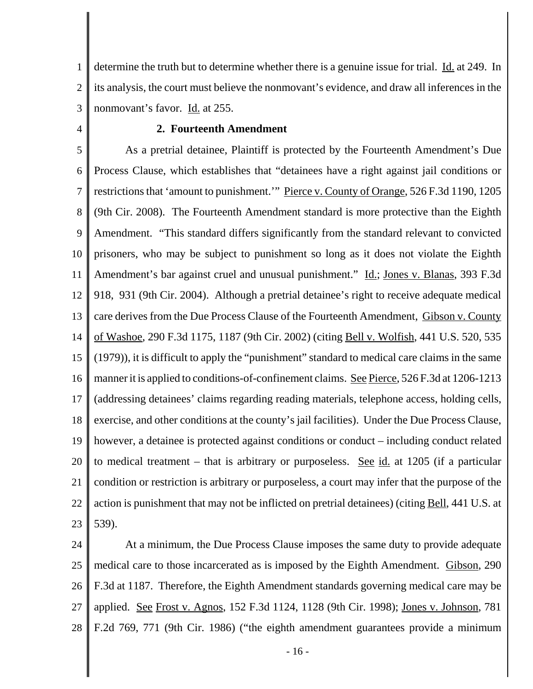1 2 3 determine the truth but to determine whether there is a genuine issue for trial. Id. at 249. In its analysis, the court must believe the nonmovant's evidence, and draw all inferences in the nonmovant's favor. Id. at 255.

4

## **2. Fourteenth Amendment**

5 6 7 8 9 10 11 12 13 14 15 16 17 18 19 20 21 22 23 As a pretrial detainee, Plaintiff is protected by the Fourteenth Amendment's Due Process Clause, which establishes that "detainees have a right against jail conditions or restrictions that 'amount to punishment.'" Pierce v. County of Orange, 526 F.3d 1190, 1205 (9th Cir. 2008). The Fourteenth Amendment standard is more protective than the Eighth Amendment. "This standard differs significantly from the standard relevant to convicted prisoners, who may be subject to punishment so long as it does not violate the Eighth Amendment's bar against cruel and unusual punishment." Id.; Jones v. Blanas, 393 F.3d 918, 931 (9th Cir. 2004). Although a pretrial detainee's right to receive adequate medical care derives from the Due Process Clause of the Fourteenth Amendment, Gibson v. County of Washoe, 290 F.3d 1175, 1187 (9th Cir. 2002) (citing Bell v. Wolfish, 441 U.S. 520, 535 (1979)), it is difficult to apply the "punishment" standard to medical care claims in the same manner it is applied to conditions-of-confinement claims. See Pierce, 526 F.3d at 1206-1213 (addressing detainees' claims regarding reading materials, telephone access, holding cells, exercise, and other conditions at the county's jail facilities). Under the Due Process Clause, however, a detainee is protected against conditions or conduct – including conduct related to medical treatment – that is arbitrary or purposeless. See id. at 1205 (if a particular condition or restriction is arbitrary or purposeless, a court may infer that the purpose of the action is punishment that may not be inflicted on pretrial detainees) (citing Bell, 441 U.S. at 539).

24 25 26 27 28 At a minimum, the Due Process Clause imposes the same duty to provide adequate medical care to those incarcerated as is imposed by the Eighth Amendment. Gibson, 290 F.3d at 1187. Therefore, the Eighth Amendment standards governing medical care may be applied. See Frost v. Agnos, 152 F.3d 1124, 1128 (9th Cir. 1998); Jones v. Johnson, 781 F.2d 769, 771 (9th Cir. 1986) ("the eighth amendment guarantees provide a minimum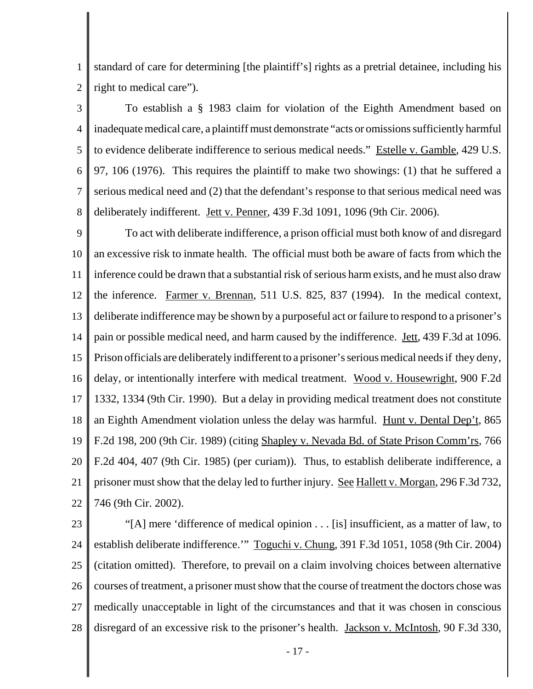1 2 standard of care for determining [the plaintiff's] rights as a pretrial detainee, including his right to medical care").

3 4 5 6 7 8 To establish a § 1983 claim for violation of the Eighth Amendment based on inadequate medical care, a plaintiff must demonstrate "acts or omissions sufficiently harmful to evidence deliberate indifference to serious medical needs." Estelle v. Gamble, 429 U.S. 97, 106 (1976). This requires the plaintiff to make two showings: (1) that he suffered a serious medical need and (2) that the defendant's response to that serious medical need was deliberately indifferent. Jett v. Penner, 439 F.3d 1091, 1096 (9th Cir. 2006).

9 10 11 12 13 14 15 16 17 18 19 20 21 22 To act with deliberate indifference, a prison official must both know of and disregard an excessive risk to inmate health. The official must both be aware of facts from which the inference could be drawn that a substantial risk of serious harm exists, and he must also draw the inference. Farmer v. Brennan, 511 U.S. 825, 837 (1994). In the medical context, deliberate indifference may be shown by a purposeful act or failure to respond to a prisoner's pain or possible medical need, and harm caused by the indifference. Jett, 439 F.3d at 1096. Prison officials are deliberately indifferent to a prisoner's serious medical needs if they deny, delay, or intentionally interfere with medical treatment. Wood v. Housewright, 900 F.2d 1332, 1334 (9th Cir. 1990). But a delay in providing medical treatment does not constitute an Eighth Amendment violation unless the delay was harmful. Hunt v. Dental Dep't, 865 F.2d 198, 200 (9th Cir. 1989) (citing Shapley v. Nevada Bd. of State Prison Comm'rs, 766 F.2d 404, 407 (9th Cir. 1985) (per curiam)). Thus, to establish deliberate indifference, a prisoner must show that the delay led to further injury. <u>See Hallett v. Morgan</u>, 296 F.3d 732, 746 (9th Cir. 2002).

23

24 25 26 27 28 "[A] mere 'difference of medical opinion . . . [is] insufficient, as a matter of law, to establish deliberate indifference.'" Toguchi v. Chung, 391 F.3d 1051, 1058 (9th Cir. 2004) (citation omitted). Therefore, to prevail on a claim involving choices between alternative courses of treatment, a prisoner must show that the course of treatment the doctors chose was medically unacceptable in light of the circumstances and that it was chosen in conscious disregard of an excessive risk to the prisoner's health. **Jackson v. McIntosh**, 90 F.3d 330,

- 17 -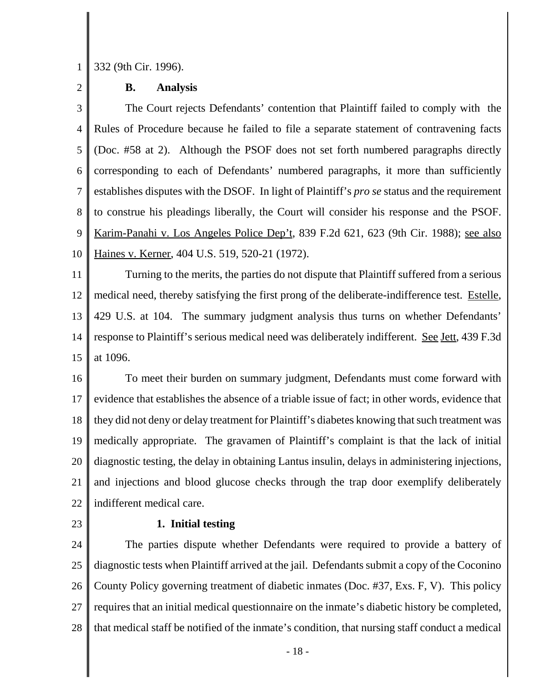1 332 (9th Cir. 1996).

2

## **B. Analysis**

3 4 5 6 7 8 9 10 The Court rejects Defendants' contention that Plaintiff failed to comply with the Rules of Procedure because he failed to file a separate statement of contravening facts (Doc. #58 at 2). Although the PSOF does not set forth numbered paragraphs directly corresponding to each of Defendants' numbered paragraphs, it more than sufficiently establishes disputes with the DSOF. In light of Plaintiff's *pro se* status and the requirement to construe his pleadings liberally, the Court will consider his response and the PSOF. Karim-Panahi v. Los Angeles Police Dep't, 839 F.2d 621, 623 (9th Cir. 1988); see also Haines v. Kerner, 404 U.S. 519, 520-21 (1972).

11 12 13 14 15 Turning to the merits, the parties do not dispute that Plaintiff suffered from a serious medical need, thereby satisfying the first prong of the deliberate-indifference test. Estelle, 429 U.S. at 104. The summary judgment analysis thus turns on whether Defendants' response to Plaintiff's serious medical need was deliberately indifferent. See Jett, 439 F.3d at 1096.

16 17 18 19 20 21 22 To meet their burden on summary judgment, Defendants must come forward with evidence that establishes the absence of a triable issue of fact; in other words, evidence that they did not deny or delay treatment for Plaintiff's diabetes knowing that such treatment was medically appropriate. The gravamen of Plaintiff's complaint is that the lack of initial diagnostic testing, the delay in obtaining Lantus insulin, delays in administering injections, and injections and blood glucose checks through the trap door exemplify deliberately indifferent medical care.

23

## **1. Initial testing**

24 25 26 27 28 The parties dispute whether Defendants were required to provide a battery of diagnostic tests when Plaintiff arrived at the jail. Defendants submit a copy of the Coconino County Policy governing treatment of diabetic inmates (Doc. #37, Exs. F, V). This policy requires that an initial medical questionnaire on the inmate's diabetic history be completed, that medical staff be notified of the inmate's condition, that nursing staff conduct a medical

- 18 -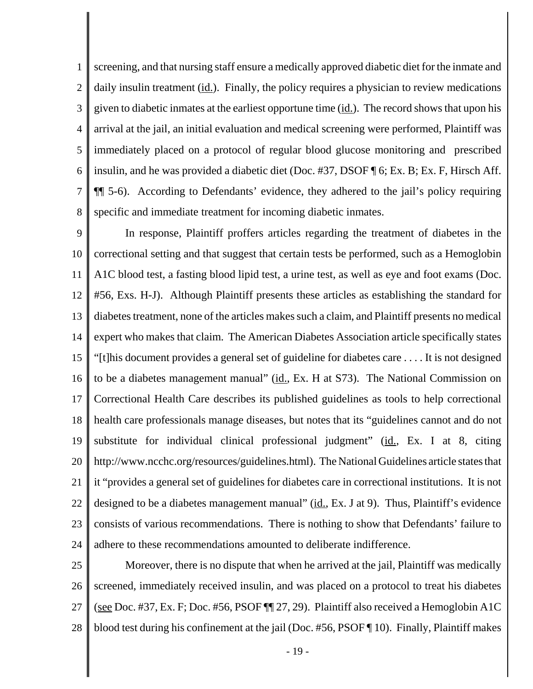1 2 3 4 5 6 7 8 screening, and that nursing staff ensure a medically approved diabetic diet for the inmate and daily insulin treatment (id.). Finally, the policy requires a physician to review medications given to diabetic inmates at the earliest opportune time  $(id.)$ . The record shows that upon his arrival at the jail, an initial evaluation and medical screening were performed, Plaintiff was immediately placed on a protocol of regular blood glucose monitoring and prescribed insulin, and he was provided a diabetic diet (Doc. #37, DSOF ¶ 6; Ex. B; Ex. F, Hirsch Aff. ¶¶ 5-6). According to Defendants' evidence, they adhered to the jail's policy requiring specific and immediate treatment for incoming diabetic inmates.

9 10 11 12 13 14 15 16 17 18 19 20 21 22 23 24 In response, Plaintiff proffers articles regarding the treatment of diabetes in the correctional setting and that suggest that certain tests be performed, such as a Hemoglobin A1C blood test, a fasting blood lipid test, a urine test, as well as eye and foot exams (Doc. #56, Exs. H-J). Although Plaintiff presents these articles as establishing the standard for diabetes treatment, none of the articles makes such a claim, and Plaintiff presents no medical expert who makes that claim. The American Diabetes Association article specifically states "[t]his document provides a general set of guideline for diabetes care . . . . It is not designed to be a diabetes management manual" (id., Ex. H at S73). The National Commission on Correctional Health Care describes its published guidelines as tools to help correctional health care professionals manage diseases, but notes that its "guidelines cannot and do not substitute for individual clinical professional judgment" (id., Ex. I at 8, citing http://www.ncchc.org/resources/guidelines.html). The National Guidelines article states that it "provides a general set of guidelines for diabetes care in correctional institutions. It is not designed to be a diabetes management manual" (id., Ex. J at 9). Thus, Plaintiff's evidence consists of various recommendations. There is nothing to show that Defendants' failure to adhere to these recommendations amounted to deliberate indifference.

25 26 27 28 Moreover, there is no dispute that when he arrived at the jail, Plaintiff was medically screened, immediately received insulin, and was placed on a protocol to treat his diabetes (see Doc. #37, Ex. F; Doc. #56, PSOF ¶¶ 27, 29). Plaintiff also received a Hemoglobin A1C blood test during his confinement at the jail (Doc. #56, PSOF ¶ 10). Finally, Plaintiff makes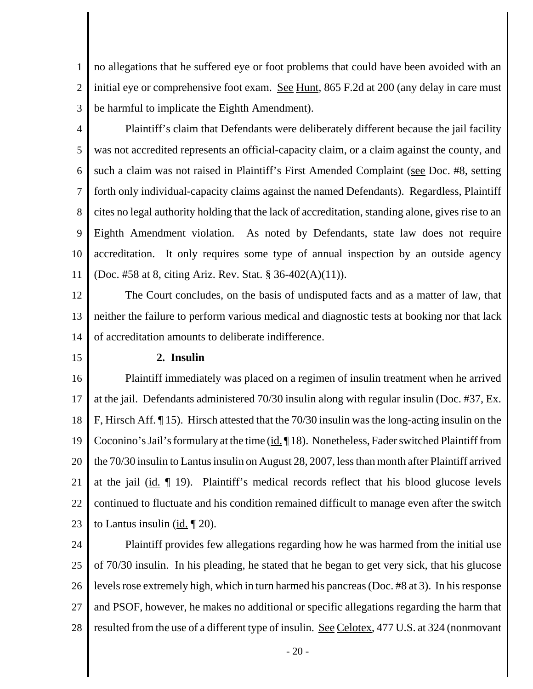1 2 3 no allegations that he suffered eye or foot problems that could have been avoided with an initial eye or comprehensive foot exam. <u>See Hunt</u>, 865 F.2d at 200 (any delay in care must be harmful to implicate the Eighth Amendment).

4 5 6 7 8 9 10 11 Plaintiff's claim that Defendants were deliberately different because the jail facility was not accredited represents an official-capacity claim, or a claim against the county, and such a claim was not raised in Plaintiff's First Amended Complaint (see Doc. #8, setting forth only individual-capacity claims against the named Defendants). Regardless, Plaintiff cites no legal authority holding that the lack of accreditation, standing alone, gives rise to an Eighth Amendment violation. As noted by Defendants, state law does not require accreditation. It only requires some type of annual inspection by an outside agency (Doc. #58 at 8, citing Ariz. Rev. Stat. § 36-402(A)(11)).

12 13 14 The Court concludes, on the basis of undisputed facts and as a matter of law, that neither the failure to perform various medical and diagnostic tests at booking nor that lack of accreditation amounts to deliberate indifference.

15

## **2. Insulin**

16 17 18 19 20 21 22 23 Plaintiff immediately was placed on a regimen of insulin treatment when he arrived at the jail. Defendants administered 70/30 insulin along with regular insulin (Doc. #37, Ex. F, Hirsch Aff. ¶ 15). Hirsch attested that the 70/30 insulin was the long-acting insulin on the Coconino's Jail's formulary at the time (id. 18). Nonetheless, Fader switched Plaintiff from the 70/30 insulin to Lantus insulin on August 28, 2007, less than month after Plaintiff arrived at the jail  $(id. \P 19)$ . Plaintiff's medical records reflect that his blood glucose levels continued to fluctuate and his condition remained difficult to manage even after the switch to Lantus insulin (id. ¶ 20).

24 25 26 27 28 Plaintiff provides few allegations regarding how he was harmed from the initial use of 70/30 insulin. In his pleading, he stated that he began to get very sick, that his glucose levels rose extremely high, which in turn harmed his pancreas (Doc. #8 at 3). In his response and PSOF, however, he makes no additional or specific allegations regarding the harm that resulted from the use of a different type of insulin. See Celotex, 477 U.S. at 324 (nonmovant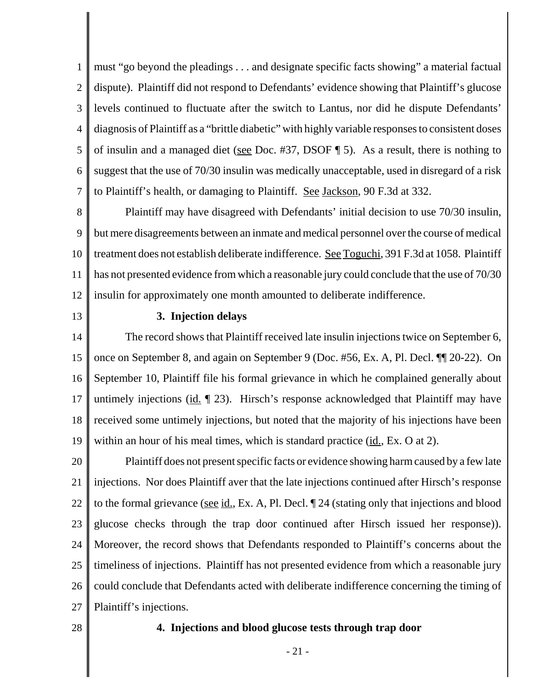1 2 3 4 5 6 7 must "go beyond the pleadings . . . and designate specific facts showing" a material factual dispute). Plaintiff did not respond to Defendants' evidence showing that Plaintiff's glucose levels continued to fluctuate after the switch to Lantus, nor did he dispute Defendants' diagnosis of Plaintiff as a "brittle diabetic" with highly variable responses to consistent doses of insulin and a managed diet (see Doc. #37, DSOF  $\P$  5). As a result, there is nothing to suggest that the use of 70/30 insulin was medically unacceptable, used in disregard of a risk to Plaintiff's health, or damaging to Plaintiff. See Jackson, 90 F.3d at 332.

8 9 10 11 12 Plaintiff may have disagreed with Defendants' initial decision to use 70/30 insulin, but mere disagreements between an inmate and medical personnel over the course of medical treatment does not establish deliberate indifference. See Toguchi, 391 F.3d at 1058. Plaintiff has not presented evidence from which a reasonable jury could conclude that the use of 70/30 insulin for approximately one month amounted to deliberate indifference.

13

## **3. Injection delays**

14 15 16 17 18 19 The record shows that Plaintiff received late insulin injections twice on September 6, once on September 8, and again on September 9 (Doc. #56, Ex. A, Pl. Decl. ¶¶ 20-22). On September 10, Plaintiff file his formal grievance in which he complained generally about untimely injections (id. ¶ 23). Hirsch's response acknowledged that Plaintiff may have received some untimely injections, but noted that the majority of his injections have been within an hour of his meal times, which is standard practice  $(id, Ex. O at 2)$ .

20 21 22 23 24 25 26 27 Plaintiff does not present specific facts or evidence showing harm caused by a few late injections. Nor does Plaintiff aver that the late injections continued after Hirsch's response to the formal grievance (see  $id.$ , Ex. A, Pl. Decl.  $\P$  24 (stating only that injections and blood glucose checks through the trap door continued after Hirsch issued her response)). Moreover, the record shows that Defendants responded to Plaintiff's concerns about the timeliness of injections. Plaintiff has not presented evidence from which a reasonable jury could conclude that Defendants acted with deliberate indifference concerning the timing of Plaintiff's injections.

28

## **4. Injections and blood glucose tests through trap door**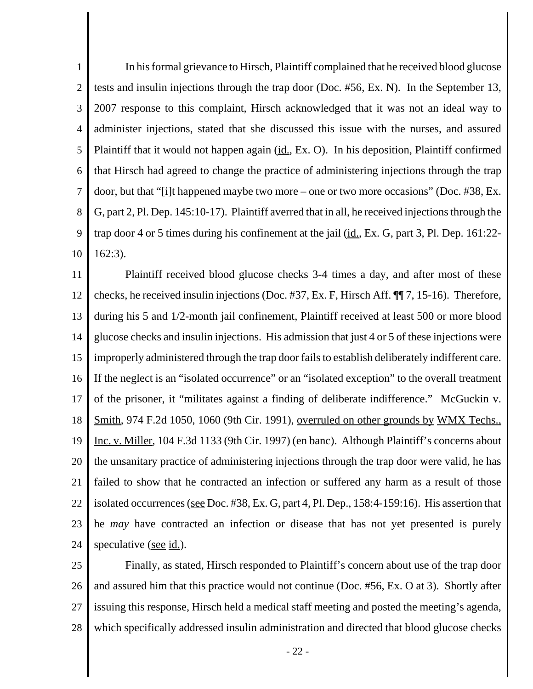1 2 3 4 5 6 7 8 9 10 In his formal grievance to Hirsch, Plaintiff complained that he received blood glucose tests and insulin injections through the trap door (Doc. #56, Ex. N). In the September 13, 2007 response to this complaint, Hirsch acknowledged that it was not an ideal way to administer injections, stated that she discussed this issue with the nurses, and assured Plaintiff that it would not happen again (id., Ex. O). In his deposition, Plaintiff confirmed that Hirsch had agreed to change the practice of administering injections through the trap door, but that "[i]t happened maybe two more – one or two more occasions" (Doc. #38, Ex. G, part 2, Pl. Dep. 145:10-17).Plaintiff averred that in all, he received injections through the trap door 4 or 5 times during his confinement at the jail (id., Ex. G, part 3, Pl. Dep. 161:22-162:3).

11 12 13 14 15 16 17 18 19 20 21 22 23 24 Plaintiff received blood glucose checks 3-4 times a day, and after most of these checks, he received insulin injections (Doc. #37, Ex. F, Hirsch Aff. ¶¶ 7, 15-16). Therefore, during his 5 and 1/2-month jail confinement, Plaintiff received at least 500 or more blood glucose checks and insulin injections. His admission that just 4 or 5 of these injections were improperly administered through the trap door fails to establish deliberately indifferent care. If the neglect is an "isolated occurrence" or an "isolated exception" to the overall treatment of the prisoner, it "militates against a finding of deliberate indifference." McGuckin v. Smith, 974 F.2d 1050, 1060 (9th Cir. 1991), overruled on other grounds by WMX Techs., Inc. v. Miller, 104 F.3d 1133 (9th Cir. 1997) (en banc). Although Plaintiff's concerns about the unsanitary practice of administering injections through the trap door were valid, he has failed to show that he contracted an infection or suffered any harm as a result of those isolated occurrences (see Doc. #38, Ex. G, part 4, Pl. Dep., 158:4-159:16). His assertion that he *may* have contracted an infection or disease that has not yet presented is purely speculative (see id.).

25 26 27 28 Finally, as stated, Hirsch responded to Plaintiff's concern about use of the trap door and assured him that this practice would not continue (Doc. #56, Ex. O at 3). Shortly after issuing this response, Hirsch held a medical staff meeting and posted the meeting's agenda, which specifically addressed insulin administration and directed that blood glucose checks